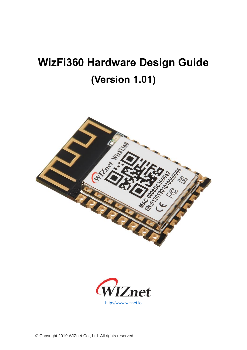# **WizFi360 Hardware Design Guide (Version 1.01)**





© Copyright 2019 WIZnet Co., Ltd. All rights reserved.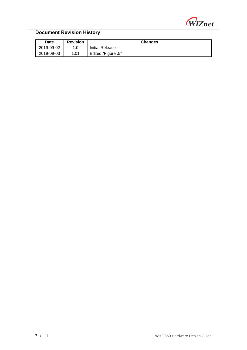

# **Document Revision History**

| <b>Date</b> | <b>Revision</b> | <b>Changes</b>     |  |  |
|-------------|-----------------|--------------------|--|--|
| 2019-09-02  | 1.0             | Initial Release    |  |  |
| 2019-09-03  | 1.01            | Edited "Figure .5" |  |  |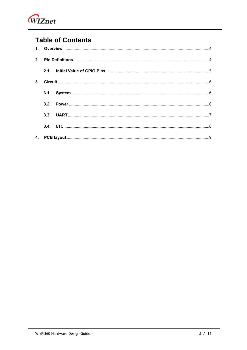

# **Table of Contents**

| 3.1. |  |
|------|--|
| 3.2. |  |
| 3.3. |  |
|      |  |
|      |  |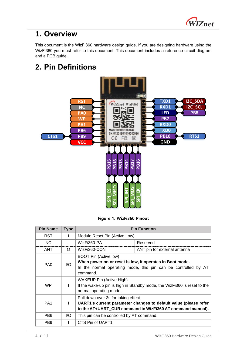

# <span id="page-3-0"></span>**1. Overview**

This document is the WizFi360 hardware design guide. If you are designing hardware using the WizFi360 you must refer to this document. This document includes a reference circuit diagram and a PCB guide.

# <span id="page-3-1"></span>**2. Pin Definitions**



**Figure 1. WizFi360 Pinout**

| <b>Pin Name</b> | <b>Type</b> | <b>Pin Function</b>                                                                                                                                                    |                              |  |
|-----------------|-------------|------------------------------------------------------------------------------------------------------------------------------------------------------------------------|------------------------------|--|
| <b>RST</b>      | L           | Module Reset Pin (Active Low)                                                                                                                                          |                              |  |
| NC.             |             | WizFi360-PA<br>Reserved                                                                                                                                                |                              |  |
| <b>ANT</b>      | $\Omega$    | WizFi360-CON                                                                                                                                                           | ANT pin for external antenna |  |
| PA <sub>0</sub> | 1/O         | <b>BOOT Pin (Active low)</b><br>When power on or reset is low, it operates in Boot mode.<br>In the normal operating mode, this pin can be controlled by AT<br>command. |                              |  |
| <b>WP</b>       |             | <b>WAKEUP Pin (Active High)</b><br>If the wake-up pin is high in Standby mode, the WizFi360 is reset to the<br>normal operating mode.                                  |                              |  |
| PA <sub>1</sub> | L           | Pull down over 3s for taking effect.<br>UART1's current parameter changes to default value (please refer<br>to the AT+UART CUR command in WizFi360 AT command manual). |                              |  |
| PB <sub>6</sub> | I/O         | This pin can be controlled by AT command.                                                                                                                              |                              |  |
| PB <sub>9</sub> |             | CTS Pin of UART1                                                                                                                                                       |                              |  |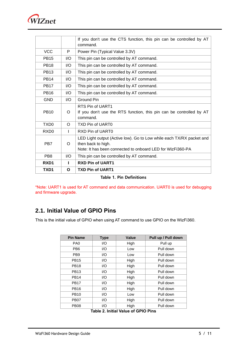

|                  |          | If you don't use the CTS function, this pin can be controlled by AT<br>command.                                                                          |
|------------------|----------|----------------------------------------------------------------------------------------------------------------------------------------------------------|
| <b>VCC</b>       | P        | Power Pin (Typical Value 3.3V)                                                                                                                           |
| <b>PB15</b>      | 1/O      | This pin can be controlled by AT command.                                                                                                                |
| <b>PB18</b>      | I/O      | This pin can be controlled by AT command.                                                                                                                |
| <b>PB13</b>      | 1/O      | This pin can be controlled by AT command.                                                                                                                |
| <b>PB14</b>      | I/O      | This pin can be controlled by AT command.                                                                                                                |
| <b>PB17</b>      | I/O      | This pin can be controlled by AT command.                                                                                                                |
| <b>PB16</b>      | 1/O      | This pin can be controlled by AT command.                                                                                                                |
| <b>GND</b>       | 1/O      | Ground Pin                                                                                                                                               |
| <b>PB10</b>      | $\Omega$ | RTS Pin of UART1<br>If you don't use the RTS function, this pin can be controlled by AT<br>command.                                                      |
| TXD <sub>0</sub> | $\Omega$ | TXD Pin of UART0                                                                                                                                         |
| RXD <sub>0</sub> | L        | RXD Pin of UART0                                                                                                                                         |
| PB7              | O        | LED Light output (Active low). Go to Low while each TX/RX packet and<br>then back to high.<br>Note: It has been connected to onboard LED for WizFi360-PA |
| PB <sub>8</sub>  | I/O      | This pin can be controlled by AT command.                                                                                                                |
| RXD1             | н        | <b>RXD Pin of UART1</b>                                                                                                                                  |
| TXD1             | O        | <b>TXD Pin of UART1</b>                                                                                                                                  |

|  |  |  |  | <b>Table 1. Pin Definitions</b> |
|--|--|--|--|---------------------------------|
|--|--|--|--|---------------------------------|

\*Note: UART1 is used for AT command and data communication. UART0 is used for debugging and firmware upgrade.

### <span id="page-4-0"></span>**2.1. Initial Value of GPIO Pins**

This is the initial value of GPIO when using AT command to use GPIO on the WizFi360.

| <b>Pin Name</b> | <b>Type</b> | <b>Value</b> | Pull up / Pull down |
|-----------------|-------------|--------------|---------------------|
| PA <sub>0</sub> | I/O         | High         | Pull up             |
| PB <sub>6</sub> | 1/O         | Low          | Pull down           |
| PB <sub>9</sub> | 1/O         | Low          | Pull down           |
| <b>PB15</b>     | 1/O         | High         | Pull down           |
| <b>PB18</b>     | 1/O         | High         | Pull down           |
| <b>PB13</b>     | 1/O         | High         | Pull down           |
| <b>PB14</b>     | 1/O         | High         | Pull down           |
| <b>PB17</b>     | 1/O         | High         | Pull down           |
| <b>PB16</b>     | 1/O         | High         | Pull down           |
| <b>PB10</b>     | 1/O         | Low          | Pull down           |
| <b>PB07</b>     | 1/O         | High         | Pull down           |
| <b>PB08</b>     | I/O         | High         | Pull down           |

**Table 2. Initial Value of GPIO Pins**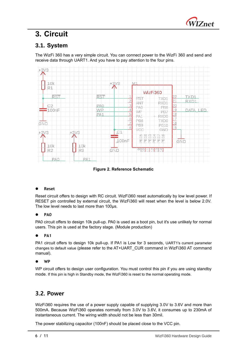

# <span id="page-5-0"></span>**3. Circuit**

# <span id="page-5-1"></span>**3.1. System**

The WizFi 360 has a very simple circuit. You can connect power to the WizFi 360 and send and receive data through UART1. And you have to pay attention to the four pins.



**Figure 2. Reference Schematic**

#### ⚫ **Reset**

Reset circuit offers to design with RC circuit. WizFi360 reset automatically by low level power. If RESET pin controlled by external circuit, the WizFi360 will reset when the level is below 2.0V. The low level needs to last more than 100µs.

#### ⚫ **PA0**

PA0 circuit offers to design 10k pull-up. PA0 is used as a boot pin, but it's use unlikely for normal users. This pin is used at the factory stage. (Module production)

#### ⚫ **PA1**

PA1 circuit offers to design 10k pull-up. If PA1 is Low for 3 seconds, UART1's current parameter changes to default value (please refer to the AT+UART\_CUR command in WizFi360 AT command manual).

#### ⚫ **WP**

WP circuit offers to design user configuration. You must control this pin if you are using standby mode. If this pin is high in Standby mode, the WizFi360 is reset to the normal operating mode.

### <span id="page-5-2"></span>**3.2. Power**

WizFi360 requires the use of a power supply capable of supplying 3.0V to 3.6V and more than 500mA. Because WizFi360 operates normally from 3.0V to 3.6V, it consumes up to 230mA of instantaneous current. The wiring width should not be less than 30mil.

The power stabilizing capacitor (100nF) should be placed close to the VCC pin.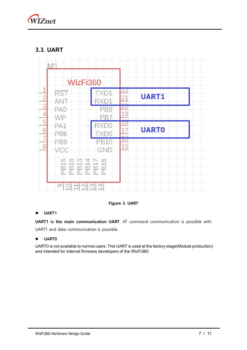

### <span id="page-6-0"></span>**3.3. UART**



**Figure 3. UART**

### ⚫ **UART1**

**UART1 is the main communication UART**. AT command communication is possible with UART1 and data communication is possible.

### ⚫ **UART0**

UART0 is not available to normal users. This UART is used at the factory stage(Module production) and intended for internal firmware developers of the WizFi360.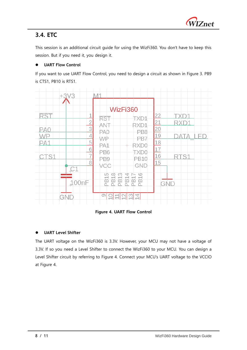

## <span id="page-7-0"></span>**3.4. ETC**

This session is an additional circuit guide for using the WizFi360. You don't have to keep this session. But if you need it, you design it.

### ⚫ **UART Flow Control**

If you want to use UART Flow Control, you need to design a circuit as shown in Figure 3. PB9 is CTS1, PB10 is RTS1.

| 1<br><b>RST</b><br>$\overline{2}$<br>3<br>PAC<br>4<br>5<br>6<br>7<br>ςr<br>8<br>-1<br>00nF<br>GNE | WizFi360<br><b>RST</b><br><b>TXD1</b><br>ANT<br>RXD1<br>PA <sub>0</sub><br>PB <sub>8</sub><br>₩₽<br>PB7<br>PA1<br>RXD <sub>0</sub><br>PB <sub>6</sub><br><b>TXD0</b><br><b>PB10</b><br>PB <sub>9</sub><br>GND<br>vee<br><b>B18</b><br>815<br>813<br><b>B16</b><br>÷<br>ᆏ<br>⅏<br>œ<br>n.<br>Ó.<br>ñ<br>n.<br>ග<br>4<br>m<br>$\sim$<br>O<br>$\overline{\phantom{0}}$<br>$\overline{\phantom{a}}$<br>-<br>- | $\overline{22}$<br>$\frac{21}{20}$ $\frac{19}{18}$ $\frac{18}{17}$<br>$\frac{16}{1}$<br>S<br>15<br><b>GND</b> |
|---------------------------------------------------------------------------------------------------|-----------------------------------------------------------------------------------------------------------------------------------------------------------------------------------------------------------------------------------------------------------------------------------------------------------------------------------------------------------------------------------------------------------|---------------------------------------------------------------------------------------------------------------|

### **Figure 4. UART Flow Control**

### ⚫ **UART Level Shifter**

The UART voltage on the WizFi360 is 3.3V. However, your MCU may not have a voltage of 3.3V. If so you need a Level Shifter to connect the WizFi360 to your MCU. You can design a Level Shifter circuit by referring to Figure 4. Connect your MCU's UART voltage to the VCCIO at Figure 4.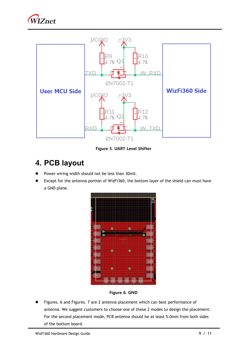



**Figure 5. UART Level Shifter**

# <span id="page-8-0"></span>**4. PCB layout**

- Power wiring width should not be less than 30mil.
- ⚫ Except for the antenna portion of WizFi360, the bottom layer of the shield can must have a GND plane.



**Figure 6. GND**

⚫ Figures. 6 and Figures. 7 are 2 antenna placement which can best performance of antenna. We suggest customers to choose one of these 2 modes to design the placement. For the second placement mode, PCB antenna should be at least 5.0mm from both sides of the bottom board.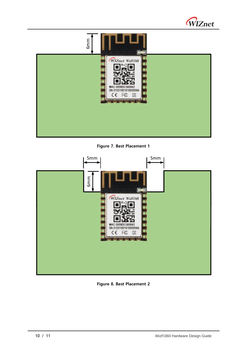



**Figure 7. Best Placement 1**



**Figure 8. Best Placement 2**